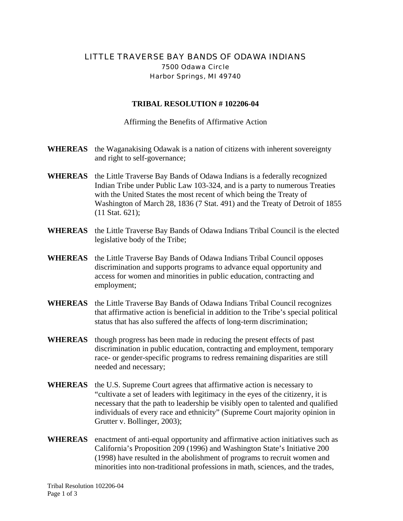## LITTLE TRAVERSE BAY BANDS OF ODAWA INDIANS 7500 Odawa Circle Harbor Springs, MI 49740

## **TRIBAL RESOLUTION # 102206-04**

Affirming the Benefits of Affirmative Action

- **WHEREAS** the Waganakising Odawak is a nation of citizens with inherent sovereignty and right to self-governance;
- **WHEREAS** the Little Traverse Bay Bands of Odawa Indians is a federally recognized Indian Tribe under Public Law 103-324, and is a party to numerous Treaties with the United States the most recent of which being the Treaty of Washington of March 28, 1836 (7 Stat. 491) and the Treaty of Detroit of 1855 (11 Stat. 621);
- **WHEREAS** the Little Traverse Bay Bands of Odawa Indians Tribal Council is the elected legislative body of the Tribe;
- **WHEREAS** the Little Traverse Bay Bands of Odawa Indians Tribal Council opposes discrimination and supports programs to advance equal opportunity and access for women and minorities in public education, contracting and employment;
- **WHEREAS** the Little Traverse Bay Bands of Odawa Indians Tribal Council recognizes that affirmative action is beneficial in addition to the Tribe's special political status that has also suffered the affects of long-term discrimination;
- **WHEREAS** though progress has been made in reducing the present effects of past discrimination in public education, contracting and employment, temporary race- or gender-specific programs to redress remaining disparities are still needed and necessary;
- **WHEREAS** the U.S. Supreme Court agrees that affirmative action is necessary to "cultivate a set of leaders with legitimacy in the eyes of the citizenry, it is necessary that the path to leadership be visibly open to talented and qualified individuals of every race and ethnicity" (Supreme Court majority opinion in Grutter v. Bollinger, 2003);
- **WHEREAS** enactment of anti-equal opportunity and affirmative action initiatives such as California's Proposition 209 (1996) and Washington State's Initiative 200 (1998) have resulted in the abolishment of programs to recruit women and minorities into non-traditional professions in math, sciences, and the trades,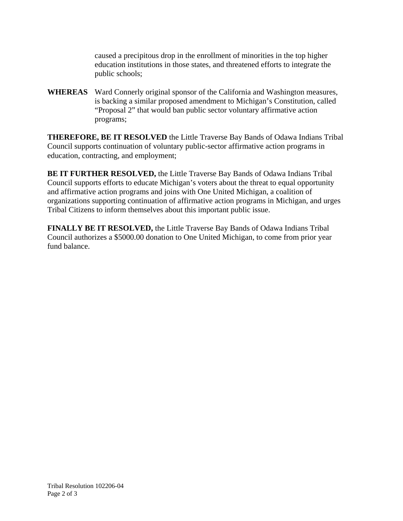caused a precipitous drop in the enrollment of minorities in the top higher education institutions in those states, and threatened efforts to integrate the public schools;

**WHEREAS** Ward Connerly original sponsor of the California and Washington measures, is backing a similar proposed amendment to Michigan's Constitution, called "Proposal 2" that would ban public sector voluntary affirmative action programs;

**THEREFORE, BE IT RESOLVED** the Little Traverse Bay Bands of Odawa Indians Tribal Council supports continuation of voluntary public-sector affirmative action programs in education, contracting, and employment;

**BE IT FURTHER RESOLVED,** the Little Traverse Bay Bands of Odawa Indians Tribal Council supports efforts to educate Michigan's voters about the threat to equal opportunity and affirmative action programs and joins with One United Michigan, a coalition of organizations supporting continuation of affirmative action programs in Michigan, and urges Tribal Citizens to inform themselves about this important public issue.

**FINALLY BE IT RESOLVED,** the Little Traverse Bay Bands of Odawa Indians Tribal Council authorizes a \$5000.00 donation to One United Michigan, to come from prior year fund balance.